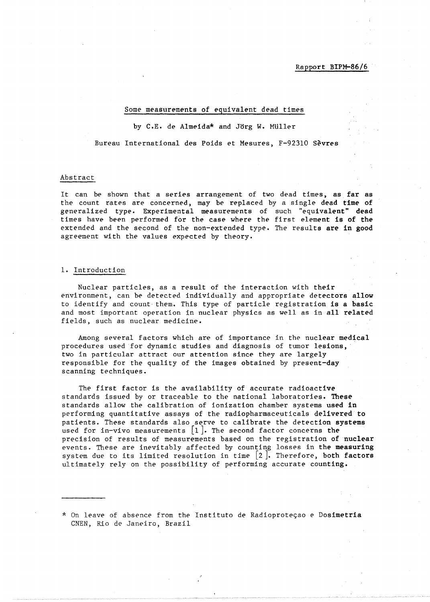Rapport BIPM-86/6

#### Some measurements of equivalent dead times

## by C.E. de Almeida\* and Jörg W. Müller

Bureau International des Poids *et* Mesures, F-92310 Sevres

## Abstract

It can be shown that a series arrangement of two dead times, as far as the count rates are concerned, may be replaced by a single dead time of generalized type. Experimental measurements of such "equivalent" dead times have been performed for the case where the first element is of the extended and the second of the non-extended type. *The* results are in good agreement with the values expected by theory.

### 1. Introduction

Nuclear particles, as a result of *the* interaction with their environment, can be detected individually and appropriate detectors allow to identify and count· them. This type of particle registration is a basic and most important operation in nuclear physics as well as in all related fields, such as nuclear medicine.

Among several factors which are of importance in the nuclear medical procedures used for dynamic studies and diagnosis of tumor lesions, two in particular attract our attention since they *are* largely responsible for the quality of the images obtained by present-day scanning techniques.

The first factor is *the* availability of accurate radioactive standards issued by or traceable to the national laboratories. These standards allow the calibration of ionization chamber systems used in performing quantitative assays of the radiopharmaceuticals delivered to patients. These standards also serve to calibrate the detection systems used for in-vivo measurements  $|1|$ . The second factor concerns the precision of results of measurements based on the registration of nuclear events. These *are* inevitably affected by counting losses in the measuring system due to its limited resolution in time  $\lceil 2 \rceil$ . Therefore, both factors ultimately rely on *the* possibility of performing accurate counting.

\* On leave of absence from the Instituto de Radioproteçao e Dosimetria CNEN, Rio de Janeiro, Brazil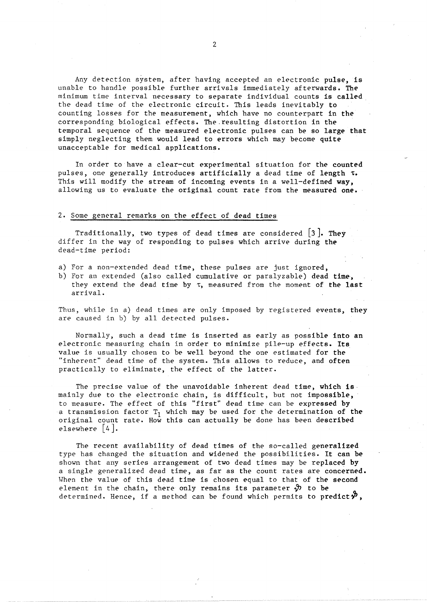Any detection system, after having accepted an electronic pulse, is unable to handle possible further arrivals immediately afterwards. The minimum time interval necessary to separate individual counts is called the dead time of the electronic circuit. This leads inevitably to counting losses for the measurement, which have no counterpart in the corresponding biological effects. The.resulting distortion in the temporal sequence of the *measured* electronic pulses can be so large that simply neglecting them would lead to errors which may become quite unacceptable for medical applications.

In order to have a clear-cut experimental situation for the counted pulses, one generally introduces artificially a dead time of length  $\tau$ . This will modify the stream of incoming events in a well-defined way, allowing us to evaluate the original count rate from the measured one.

## 2. Some general remarks on the effect of dead times

Traditionally, two types of dead times are considered  $\lceil 3 \rceil$ . They differ in the way of responding to pulses which arrive during the dead-time period:

- a) For a non-extended dead time, these pulses *are* just ignored,
- b) For an extended (also called cumulative or paralyzable) dead time, they extend the dead time by  $\tau$ , measured from the moment of the last arrival.

Thus, while in a) dead times are only imposed by registered events, they are caused in b) by all detected pulses.

Normally, such a dead time is inserted as early as possible into an electronic measuring chain in order to minimize pile-up effects. Its value is usually chosen to be well beyond the one estimated for the "inherent" dead time of the system. This allows to reduce, and often practically to eliminate, the effect of the latter.

The precise value of the unavoidable inherent dead time, which is mainly *due* to the electronic chain, is difficult, but not impossible, to measure. The effect of this "first" dead time can be expressed by a transmission factor  $T_1$  which may be used for the determination of the original count rate. How this can actually be done has been described elsewhere  $[4]$ .

The recent availability of dead times of the so-called generalized type has changed the situation and widened the possibilities. It can be shown that any series arrangement of two dead times may be replaced by a single generalized dead time, as far as the count *rates are* concerned. When the value of this dead time is chosen equal to that of the second element in the chain, there only remains its parameter  $\mathcal{P}$  to be determined. Hence, if a method can be found which permits to predict  $\mathcal{P}$ ,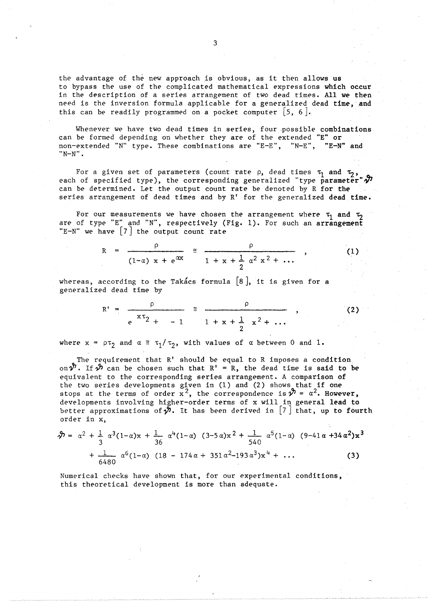the advantage of the new approach is obvious, as it then allows us to bypass the use of the complicated mathematical expressions which occur in the description of a *series* arrangement of two dead times. All we then need is the inversion formula applicable for a generalized dead time, and this can be readily programmed on a pocket computer *[5,* 6J.

Whenever we have two dead times in series, four possible combinations can be formed depending on whether they *are* of the extended "E" or non-extended "N" type. These combinations are "E-E", "N-E", "E-N" and  $"N-N"$ .

For a given set of parameters (count rate  $\rho$ , dead times  $\tau_1$  and  $\tau_2$ , each of specified type), the corresponding generalized "type parameter" $\partial$ ? can be determined. Let the output count rate be denoted by R for the series arrangement of dead times and by  $R'$  for the generalized dead time.

For our measurements we have chosen the arrangement where  $\tau_1$  and  $\tau_2$ are of type "E" and "N", respectively (Fig. 1). For such an arrangement "E-N" we have  $[7]$  the output count rate

$$
R = \frac{\rho}{(1-\alpha)x + e^{\alpha x}} \equiv \frac{\rho}{1 + x + \frac{1}{2} \alpha^2 x^2 + \cdots} ,
$$

(1)

(2)

whereas, according to the Takacs formula  $[8]$ , it is given for a generalized dead time by

$$
R' = \frac{\rho}{e^{x\tau_2} + -1} \equiv \frac{\rho}{1 + x + \frac{1}{2}x^2 + \dots}
$$

where  $x = \rho \tau_2$  and  $\alpha \approx \tau_1/\tau_2$ , with values of  $\alpha$  between 0 and 1.

The requirement that  $R'$  should be equal to  $R$  imposes a condition on  $\sqrt[n]{v}$ . If  $\sqrt[n]{v}$  can be chosen such that R' = R, the dead time is said to be equivalent to the corresponding series arrangement. A comparison of the two *series* developments given in (1) and (2) shows that if one stops at the terms of order  $x^2$ , the correspondence is  $\mathcal{V} = \alpha^2$ . However, developments involving higher-order terms of x will in general lead to better approximations of  $\mathcal{Y}$ . It has been derived in [7] that, up to fourth order in x,

$$
\mathcal{P} = \alpha^2 + \frac{1}{3} \alpha^3 (1-\alpha)x + \frac{1}{36} \alpha^4 (1-\alpha) (3-5\alpha)x^2 + \frac{1}{540} \alpha^5 (1-\alpha) (9-41\alpha + 34\alpha^2)x^3
$$
  
+ 
$$
\frac{1}{6480} \alpha^6 (1-\alpha) (18-174\alpha+351\alpha^2-193\alpha^3)x^4 + \dots
$$
 (3)

Numerical checks have shown that, for our experimental conditions, this theoretical development is more than adequate.

3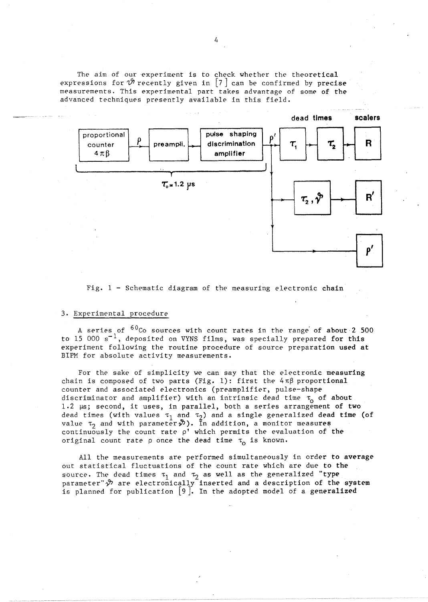The aim of our experiment is to check whether the theoretical expressions for  $\mathcal{V}$  recently given in  $|7|$  can be confirmed by precise measurements. This experimental part *takes* advantage of some of the advanced techniques presently available in this field.



Fig. 1 - Schematic diagram of the measuring electronic chain

## 3. Experimental procedure

A series of 60Co *sources* with count rates in the *range'* of about· 2 500 to 15 000  $s^{-1}$ , deposited on VYNS films, was specially prepared for this experiment following the routine procedure of source preparation used at BIPM for absolute activity measurements.

For the *sake* of simplicity we can say that the electronic measuring chain is composed of two parts (Fig. 1): first the  $4\pi\beta$  proportional counter and associated electronics (preamplifier, pulse-shape discriminator and amplifier) with an intrinsic dead time  $\tau_{0}$  of about 1.2 µs; second, it uses, in parallel, both a series arrangement of two dead *times* (with values  $\tau_1$  and  $\tau_2$ ) and a single generalized dead time (of value  $\tau_2$  and with parameter  $\mathcal{P}$ ). In addition, a monitor measures continuously the count rate  $\rho'$  which permits the evaluation of the original count rate p once the dead time  $\tau_0$  is known.

All the measurements *are* performed simultaneously in order to average out statistical fluctuations of the count *rate* which *are* due to the source. The dead times  $\tau_1$  and  $\tau_2$  as well as the generalized "type parameter" $\mathcal{P}$  are electronically inserted and a description of the system is planned for publication  $[9]$ . In the adopted model of a generalized

4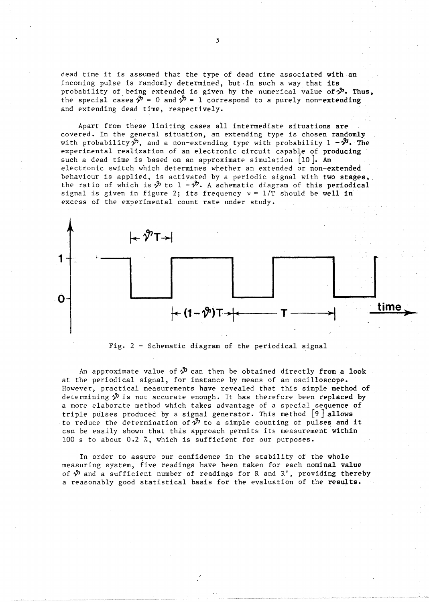dead time it is assumed that the type of dead time associated with an incoming pulse is randomly determined, but in such a way that its probability of being extended is given by the numerical value of  $\mathcal{P}$ . Thus, the special cases  $\mathcal{P} = 0$  and  $\mathcal{P} = 1$  correspond to a purely non-extending and extending dead time, respectively.

Apart from these limiting cases all intermediate situations are covered. In the general situation, an extending type is chosen randomly with probability  $\mathcal{P}$ , and a non-extending type with probability 1 - $\mathcal{P}$ . The experimental realization of an electronic circuit capable of producing such a dead time is based on an approximate simulation  $|10|$ . An electronic switch which determines whether an extended or non-extended behaviour is applied, is activated by a periodic signal with two stages, the ratio of which is  $\mathcal{P}$  to  $1 - \mathcal{P}$ . A schematic diagram of this periodical signal is given in figure 2; its frequency  $v = 1/T$  should be well in excess of the experimental count rate under study.





An approximate value of  $\mathcal{P}$  can then be obtained directly from a look at the periodical signal, for instance by means of an oscilloscope. However, practical measurements have revealed that this simple method of determining  $\mathcal P$  is not accurate enough. It has therefore been replaced by a more elaborate method which takes advantage of a special sequence of triple pulses produced by a signal generator. This method [9] allows to reduce the determination of  $\mathcal{P}$  to a simple counting of pulses and it can be easily shown that this approach permits its measurement within 100 s to about 0.2 %, which is sufficient for our purposes.

In order to assure our confidence in the stability of the whole measuring system, five readings have been taken for each nominal value of  $\hat{v}$  and a sufficient number of readings for R and R', providing thereby a reasonably good statistical basis for the evaluation of the results.

5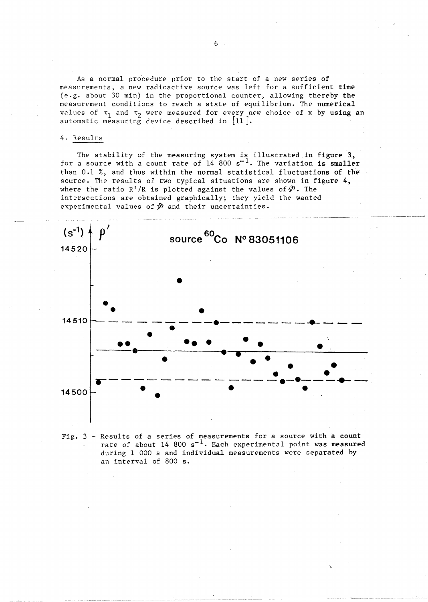As a normal procedure prior to the start of a new series of measurements, a new radioactive *source* was left for a sufficient time *(e.g.* about 30 min) in the proportional counter, allowing thereby the measurement conditions to reach a state of equilibrium. The numerical values of  $\tau_1$  and  $\tau_2$  were measured for every new choice of x by using an automatic measuring device described in  $[11]$ .

# 4. Results

The stability of the measuring system is illustrated in figure  $\overline{3},$ for a source with a count rate of  $14\,800\,s^{-1}$ . The variation is smaller than 0.1 %, and thus within the normal statistical fluctuations of the source. The results of two typical situations *are* shown in figure 4, where the ratio R'/R is plotted against *the* values ofY'. The intersections are obtained graphically; they yield the wanted experimental values of  $$$  and their uncertainties.



Fig. 3 - Results of a *series* of measurements for a source with a count rate of about  $14\,800\,s^{-1}$ . Each experimental point was measured during 1 000 s and individual measurements were separated by an interval of 800 s.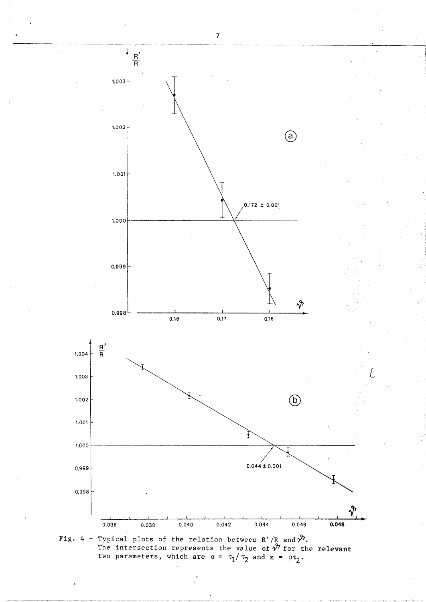

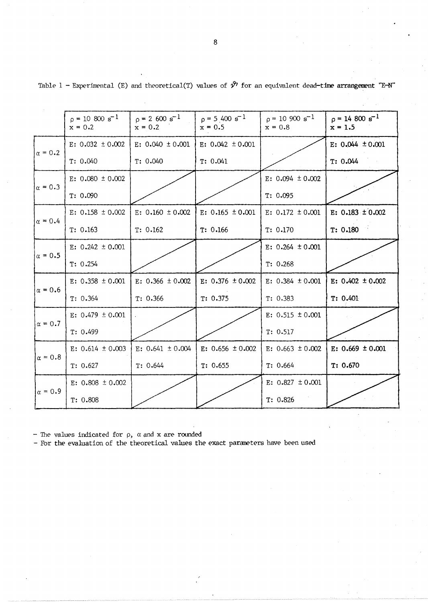|                | $p = 10,800, s^{-1}$<br>$x = 0.2$ | $p = 2,600 \text{ s}^{-1}$<br>$x = 0.2$ | $p = 5,400 s^{-1}$<br>$x = 0.5$ | $p = 10900 s^{-1}$<br>$x = 0.8$ | $p = 14800 s^{-1}$<br>$x = 1.5$ |
|----------------|-----------------------------------|-----------------------------------------|---------------------------------|---------------------------------|---------------------------------|
| $\alpha = 0.2$ | E: $0.032 \pm 0.002$              | E: $0.040 \pm 0.001$                    | E: $0.042 \pm 0.001$            |                                 | E: $0.044 \pm 0.001$            |
|                | T: 0.040                          | T: 0.040                                | T: 0.041                        |                                 | T: 0.044                        |
| $\alpha = 0.3$ | E: $0.080 \pm 0.002$              |                                         |                                 | E: $0.094 \pm 0.002$            |                                 |
|                | T: 0.090                          |                                         |                                 | T: 0.095                        |                                 |
| $\alpha = 0.4$ | E: $0.158 \pm 0.002$              | E: $0.160 \pm 0.002$                    | E: $0.165 \pm 0.001$            | E: $0.172 \pm 0.001$            | E: $0.183 \pm 0.002$            |
|                | T: 0.163                          | T: 0.162                                | T: 0.166                        | T: 0.170                        | T: 0.180                        |
| $\alpha = 0.5$ | E: $0.242 \pm 0.001$              |                                         |                                 | E: $0.264 \pm 0.001$            |                                 |
|                | T: 0.254                          |                                         |                                 | T: 0.268                        |                                 |
| $\alpha = 0.6$ | E: $0.358 \pm 0.001$              | E: $0.366 \pm 0.002$                    | E: $0.376 \pm 0.002$            | $E: 0.384 \pm 0.001$            | E: $0.402 \pm 0.002$            |
|                | T: 0.364                          | T: 0.366                                | T: 0.375                        | T: 0.383                        | T: 0.401                        |
| $\alpha = 0.7$ | E: $0.479 \pm 0.001$              |                                         |                                 | E: $0.515 \pm 0.001$            |                                 |
|                | T: 0.499                          |                                         |                                 | T: 0.517                        |                                 |
| $\alpha = 0.8$ | E: $0.614 \pm 0.003$              | E: $0.641 \pm 0.004$                    | E: $0.656 \pm 0.002$            | E: $0.663 \pm 0.002$            | E: $0.669 \pm 0.001$            |
|                | T: 0.627                          | T: 0.644                                | T: 0.655                        | T: 0.664                        | T: 0.670                        |
| $\alpha = 0.9$ | E: $0.808 \pm 0.002$              |                                         |                                 | E: $0.827 \pm 0.001$            |                                 |
|                | T: 0.808                          |                                         |                                 | T: 0.826                        |                                 |

Table 1 - Experimental (E) and theoretical(T) values of  $\hat{y}$  for an equivalent dead-time arrangement "E-N"

- The values indicated for  $\rho$ ,  $\alpha$  and  $x$  are rounded<br>- For the evaluation of the theoretical values the exact parameters have been used

 $\bf 8$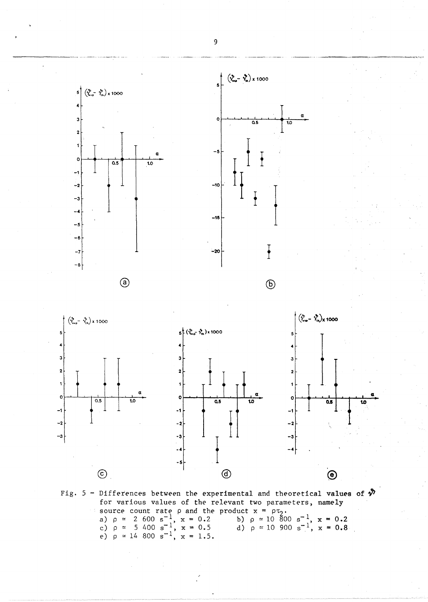

Fig. 5 - Differences between the experimental and theoretical values of  $\mathcal{W}$ for various values of the relevant two parameters, namely source count rate  $\rho$  and the product  $x = \rho \tau_2$ .<br>
a)  $\rho \approx 2\,600 \text{ s}^{-1}$ ,  $x = 0.2$  b)  $\rho \approx 10\,800$ <br>
c)  $\rho \approx 5\,400 \text{ s}^{-1}$ ,  $x = 0.5$  d)  $\rho \approx 10\,900$ <br>
e)  $\rho \approx 14\,800 \text{ s}^{-1}$ ,  $x = 1.5$ . b)  $\rho \approx 10^{-5}00 \text{ s}^{-1}$ ,  $x = 0.2$ <br>d)  $\rho \approx 10^{-5}00 \text{ s}^{-1}$ ,  $x = 0.8$ 

 $\mathbf 9$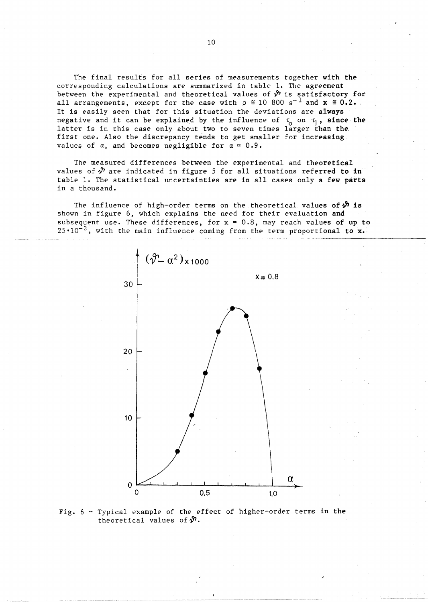The final results for all series of measurements together with the corresponding calculations are summarized in table 1. The agreement between the experimental and theoretical values of  $\mathcal P$  is satisfactory for all arrangements, except for the case with  $\rho \approx 10\,800\,\text{s}^{-1}$  and  $\textbf{x} \approx 0.2$ . It is easily *seen* that for this situation the deviations *are* always negative and it can be explained by the influence of  $\tau_0$  on  $\tau_1$ , since the latter is in this *case* only about two to seven times larger than the, first *one.* Also the discrepancy tends to get smaller for increasing values of  $\alpha$ , and becomes negligible for  $\alpha = 0.9$ .

The *measured* differences between the experimental and theoretical values of  $\mathcal{P}$  are indicated in figure 5 for all situations referred to in table 1. The statistical uncertainties are in all cases only a few parts in a thousand.

The influence of high-order terms on the theoretical values of  $\mathcal{P}$  is shown in figure 6, which explains the need for their evaluation and subsequent use. These differences, for  $x = 0.8$ , may reach values of up to  $25 \cdot 10^{-3}$ , with the main influence coming from the term proportional to x.



Fig. 6 - Typical example of the effect of higher-order terms in the theoretical values of  $\mathcal{Y}.$ 

/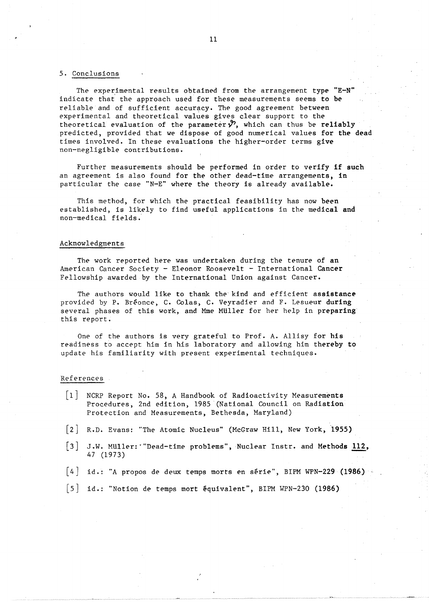### 5. Conclusions

The experimental results obtained from the arrangement type "E-N" indicate that the approach used for these measurements seems to be reliable and of sufficient accuracy. The good agreement between experimental and theoretical values gives clear support to the theoretical evaluation of the parameter  $\mathcal{P}$ , which can thus be reliably predicted, provided that we dispose of good numerical values for the dead times involved. In these evaluations the higher-order *terms* give non-negligible contributions.

Further measurements should be performed in order to verify if such an agreement is also found for the other dead-time arrangements, in particular the case "N-E" where the theory is already available.

This method, for which the practical feasibility has now been established, is likely to find useful applications in the medical and non-medical fields.'

## Acknowledgments

The work reported here was undertaken during the tenure of an American Cancer Society - Eleonor Roosevelt - International Cancer Fellowship awarded by the International Union against Cancer.

The authors would like to thank the kind and efficient assistance provided by P. Breonce, C. Colas, C. Veyradier and F. Lesueur during several phases of this work, and Mme Muller for her help in preparing this report.

One of the authors is very grateful to Prof. A. Allisy for his readiness to accept him in his laboratory and allowing him thereby to update his familiarity with present experimental techniques.

### References

- $|1|$  NCRP Report No. 58, A Handbook of Radioactivity Measurements Procedures, 2nd edition, 1985 (National Council on Radiation Protection and Measurements, Bethesda, Maryland)
- [2] R.D. Evans: "The Atomic Nucleus" (McGraw Hill, New York, '1955)
- [3] J.W. Müller: "Dead-time problems", Nuclear Instr. and Methods 112, 47 (1973)
- $\begin{bmatrix} 4 & 1d. \\ 4 & 1d \end{bmatrix}$  . "A propos de deux temps morts en série", BIPM WPN-229 (1986)
- [5] id.: "Notion de temps mort equivalent", BIPM WPN-230 (1986)